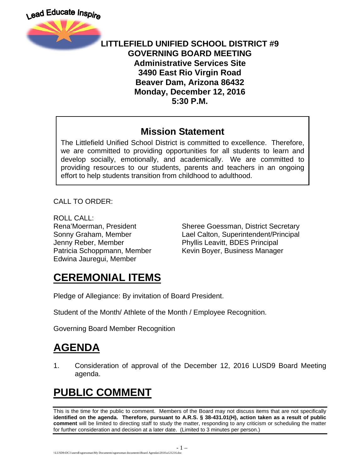

#### **LITTLEFIELD UNIFIED SCHOOL DISTRICT #9 GOVERNING BOARD MEETING Administrative Services Site 3490 East Rio Virgin Road Beaver Dam, Arizona 86432 Monday, December 12, 2016 5:30 P.M.**

#### **Mission Statement**

The Littlefield Unified School District is committed to excellence. Therefore, we are committed to providing opportunities for all students to learn and develop socially, emotionally, and academically. We are committed to providing resources to our students, parents and teachers in an ongoing effort to help students transition from childhood to adulthood.

CALL TO ORDER:

ROLL CALL: Jenny Reber, Member Phyllis Leavitt, BDES Principal Edwina Jauregui, Member

Rena'Moerman, President Sheree Goessman, District Secretary Sonny Graham, Member Lael Calton, Superintendent/Principal Patricia Schoppmann, Member Kevin Boyer, Business Manager

### **CEREMONIAL ITEMS**

Pledge of Allegiance: By invitation of Board President.

Student of the Month/ Athlete of the Month / Employee Recognition.

Governing Board Member Recognition

## **AGENDA**

1. Consideration of approval of the December 12, 2016 LUSD9 Board Meeting agenda.

# **PUBLIC COMMENT**

This is the time for the public to comment. Members of the Board may not discuss items that are not specifically **identified on the agenda. Therefore, pursuant to A.R.S. § 38-431.01(H), action taken as a result of public comment** will be limited to directing staff to study the matter, responding to any criticism or scheduling the matter for further consideration and decision at a later date. (Limited to 3 minutes per person.)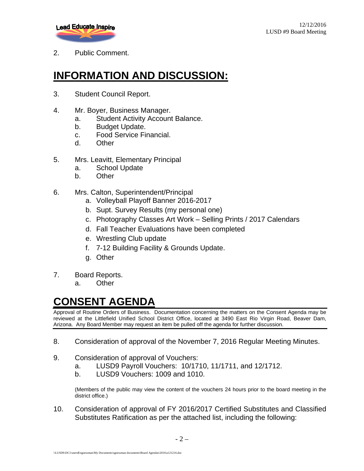

2. Public Comment.

### **INFORMATION AND DISCUSSION:**

- 3. Student Council Report.
- 4. Mr. Boyer, Business Manager.
	- a. Student Activity Account Balance.
	- b. Budget Update.
	- c. Food Service Financial.
	- d. Other
- 5. Mrs. Leavitt, Elementary Principal
	- a. School Update
	- b. Other
- 6. Mrs. Calton, Superintendent/Principal
	- a. Volleyball Playoff Banner 2016-2017
	- b. Supt. Survey Results (my personal one)
	- c. Photography Classes Art Work Selling Prints / 2017 Calendars
	- d. Fall Teacher Evaluations have been completed
	- e. Wrestling Club update
	- f. 7-12 Building Facility & Grounds Update.
	- g. Other
- 7. Board Reports.
	- a. Other

#### **CONSENT AGENDA**

Approval of Routine Orders of Business. Documentation concerning the matters on the Consent Agenda may be reviewed at the Littlefield Unified School District Office, located at 3490 East Rio Virgin Road, Beaver Dam, Arizona. Any Board Member may request an item be pulled off the agenda for further discussion.

- 8. Consideration of approval of the November 7, 2016 Regular Meeting Minutes.
- 9. Consideration of approval of Vouchers:
	- a. LUSD9 Payroll Vouchers: 10/1710, 11/1711, and 12/1712.
	- b. LUSD9 Vouchers: 1009 and 1010.

(Members of the public may view the content of the vouchers 24 hours prior to the board meeting in the district office.)

10. Consideration of approval of FY 2016/2017 Certified Substitutes and Classified Substitutes Ratification as per the attached list, including the following: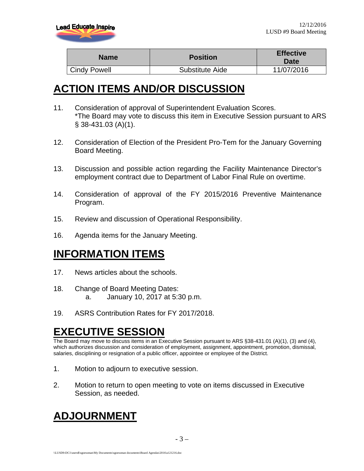

| <b>Name</b>         | <b>Position</b> | <b>Effective</b><br><b>Date</b> |
|---------------------|-----------------|---------------------------------|
| <b>Cindy Powell</b> | Substitute Aide | 11/07/2016                      |

#### **ACTION ITEMS AND/OR DISCUSSION**

- 11. Consideration of approval of Superintendent Evaluation Scores. \*The Board may vote to discuss this item in Executive Session pursuant to ARS § 38-431.03 (A)(1).
- 12. Consideration of Election of the President Pro-Tem for the January Governing Board Meeting.
- 13. Discussion and possible action regarding the Facility Maintenance Director's employment contract due to Department of Labor Final Rule on overtime.
- 14. Consideration of approval of the FY 2015/2016 Preventive Maintenance Program.
- 15. Review and discussion of Operational Responsibility.
- 16. Agenda items for the January Meeting.

### **INFORMATION ITEMS**

- 17. News articles about the schools.
- 18. Change of Board Meeting Dates: a. January 10, 2017 at 5:30 p.m.
- 19. ASRS Contribution Rates for FY 2017/2018.

### **EXECUTIVE SESSION**

The Board may move to discuss items in an Executive Session pursuant to ARS §38-431.01 (A)(1), (3) and (4), which authorizes discussion and consideration of employment, assignment, appointment, promotion, dismissal, salaries, disciplining or resignation of a public officer, appointee or employee of the District.

- 1. Motion to adjourn to executive session.
- 2. Motion to return to open meeting to vote on items discussed in Executive Session, as needed.

### **ADJOURNMENT**